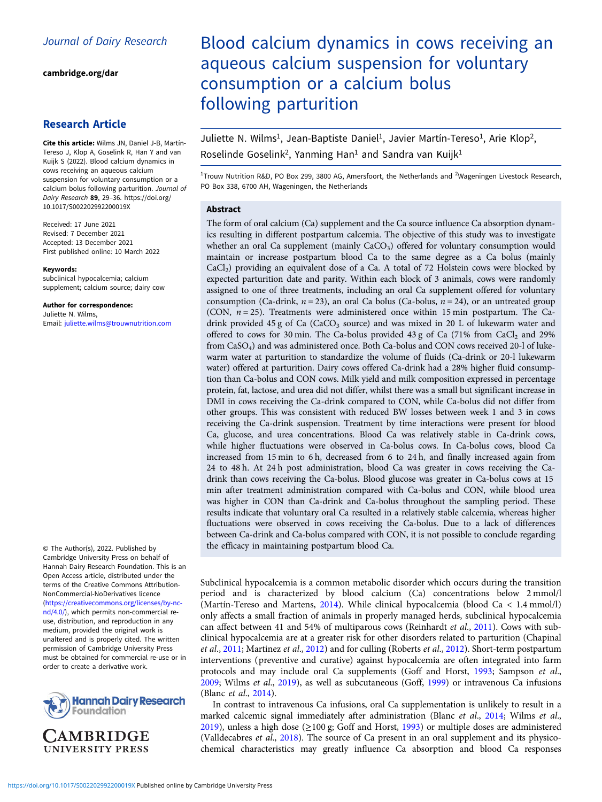[cambridge.org/dar](https://www.cambridge.org/dar)

## Research Article

Cite this article: Wilms JN, Daniel J-B, Martín-Tereso J, Klop A, Goselink R, Han Y and van Kuijk S (2022). Blood calcium dynamics in cows receiving an aqueous calcium suspension for voluntary consumption or a calcium bolus following parturition. Journal of Dairy Research 89, 29–36. [https://doi.org/](https://doi.org/10.1017/S002202992200019X) [10.1017/S002202992200019X](https://doi.org/10.1017/S002202992200019X)

Received: 17 June 2021 Revised: 7 December 2021 Accepted: 13 December 2021 First published online: 10 March 2022

#### Keywords:

subclinical hypocalcemia; calcium supplement; calcium source; dairy cow

Author for correspondence: Juliette N. Wilms, Email: [juliette.wilms@trouwnutrition.com](mailto:juliette.wilms@trouwnutrition.com)

© The Author(s), 2022. Published by Cambridge University Press on behalf of Hannah Dairy Research Foundation. This is an Open Access article, distributed under the terms of the Creative Commons Attribution-NonCommercial-NoDerivatives licence ([https://creativecommons.org/licenses/by-nc](https://creativecommons.org/licenses/by-nc-nd/4.0/)[nd/4.0/](https://creativecommons.org/licenses/by-nc-nd/4.0/)), which permits non-commercial reuse, distribution, and reproduction in any medium, provided the original work is unaltered and is properly cited. The written permission of Cambridge University Press must be obtained for commercial re-use or in order to create a derivative work.





# Blood calcium dynamics in cows receiving an aqueous calcium suspension for voluntary consumption or a calcium bolus following parturition

Juliette N. Wilms<sup>1</sup>, Jean-Baptiste Daniel<sup>1</sup>, Javier Martín-Tereso<sup>1</sup>, Arie Klop<sup>2</sup>, Roselinde Goselink<sup>2</sup>, Yanming Han<sup>1</sup> and Sandra van Kuijk<sup>1</sup>

<sup>1</sup>Trouw Nutrition R&D, PO Box 299, 3800 AG, Amersfoort, the Netherlands and <sup>2</sup>Wageningen Livestock Research, PO Box 338, 6700 AH, Wageningen, the Netherlands

## Abstract

The form of oral calcium (Ca) supplement and the Ca source influence Ca absorption dynamics resulting in different postpartum calcemia. The objective of this study was to investigate whether an oral Ca supplement (mainly  $CaCO<sub>3</sub>$ ) offered for voluntary consumption would maintain or increase postpartum blood Ca to the same degree as a Ca bolus (mainly  $CaCl<sub>2</sub>$ ) providing an equivalent dose of a Ca. A total of 72 Holstein cows were blocked by expected parturition date and parity. Within each block of 3 animals, cows were randomly assigned to one of three treatments, including an oral Ca supplement offered for voluntary consumption (Ca-drink,  $n = 23$ ), an oral Ca bolus (Ca-bolus,  $n = 24$ ), or an untreated group (CON,  $n = 25$ ). Treatments were administered once within 15 min postpartum. The Cadrink provided 45 g of Ca  $(CaCO<sub>3</sub> source)$  and was mixed in 20 L of lukewarm water and offered to cows for 30 min. The Ca-bolus provided 43 g of Ca (71% from CaCl<sub>2</sub> and 29% from CaSO4) and was administered once. Both Ca-bolus and CON cows received 20-l of lukewarm water at parturition to standardize the volume of fluids (Ca-drink or 20-l lukewarm water) offered at parturition. Dairy cows offered Ca-drink had a 28% higher fluid consumption than Ca-bolus and CON cows. Milk yield and milk composition expressed in percentage protein, fat, lactose, and urea did not differ, whilst there was a small but significant increase in DMI in cows receiving the Ca-drink compared to CON, while Ca-bolus did not differ from other groups. This was consistent with reduced BW losses between week 1 and 3 in cows receiving the Ca-drink suspension. Treatment by time interactions were present for blood Ca, glucose, and urea concentrations. Blood Ca was relatively stable in Ca-drink cows, while higher fluctuations were observed in Ca-bolus cows. In Ca-bolus cows, blood Ca increased from 15 min to 6 h, decreased from 6 to 24 h, and finally increased again from 24 to 48 h. At 24 h post administration, blood Ca was greater in cows receiving the Cadrink than cows receiving the Ca-bolus. Blood glucose was greater in Ca-bolus cows at 15 min after treatment administration compared with Ca-bolus and CON, while blood urea was higher in CON than Ca-drink and Ca-bolus throughout the sampling period. These results indicate that voluntary oral Ca resulted in a relatively stable calcemia, whereas higher fluctuations were observed in cows receiving the Ca-bolus. Due to a lack of differences between Ca-drink and Ca-bolus compared with CON, it is not possible to conclude regarding the efficacy in maintaining postpartum blood Ca.

Subclinical hypocalcemia is a common metabolic disorder which occurs during the transition period and is characterized by blood calcium (Ca) concentrations below 2 mmol/l (Martín-Tereso and Martens, [2014\)](#page-7-0). While clinical hypocalcemia (blood Ca < 1.4 mmol/l) only affects a small fraction of animals in properly managed herds, subclinical hypocalcemia can affect between 41 and 54% of multiparous cows (Reinhardt et al., [2011](#page-7-0)). Cows with subclinical hypocalcemia are at a greater risk for other disorders related to parturition (Chapinal et al., [2011](#page-6-0); Martinez et al., [2012\)](#page-7-0) and for culling (Roberts et al., [2012\)](#page-7-0). Short-term postpartum interventions (preventive and curative) against hypocalcemia are often integrated into farm protocols and may include oral Ca supplements (Goff and Horst, [1993](#page-7-0); Sampson et al., [2009;](#page-7-0) Wilms et al., [2019](#page-7-0)), as well as subcutaneous (Goff, [1999](#page-6-0)) or intravenous Ca infusions (Blanc et al., [2014](#page-6-0)).

In contrast to intravenous Ca infusions, oral Ca supplementation is unlikely to result in a marked calcemic signal immediately after administration (Blanc et al., [2014](#page-6-0); Wilms et al., [2019\)](#page-7-0), unless a high dose (≥100 g; Goff and Horst, [1993\)](#page-7-0) or multiple doses are administered (Valldecabres et al., [2018](#page-7-0)). The source of Ca present in an oral supplement and its physicochemical characteristics may greatly influence Ca absorption and blood Ca responses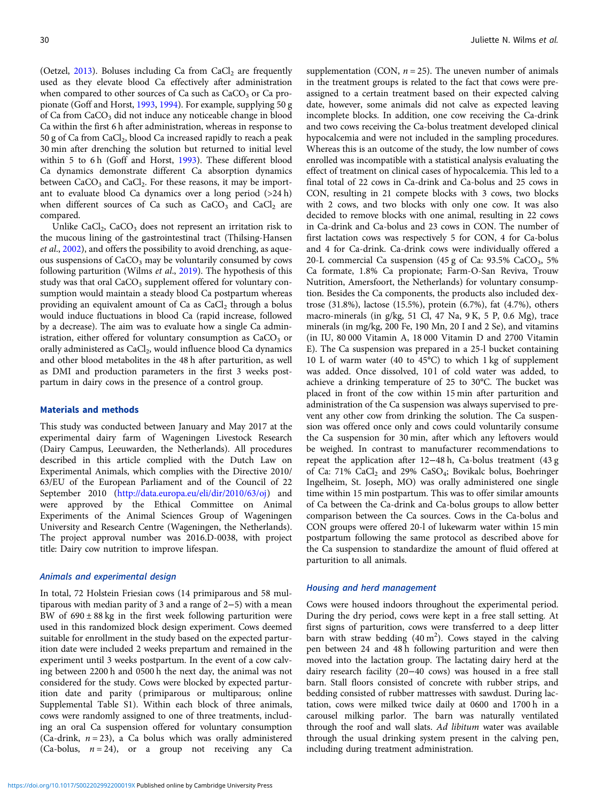(Oetzel,  $2013$ ). Boluses including Ca from CaCl<sub>2</sub> are frequently used as they elevate blood Ca effectively after administration when compared to other sources of Ca such as  $CaCO<sub>3</sub>$  or Ca propionate (Goff and Horst, [1993](#page-7-0), [1994\)](#page-7-0). For example, supplying 50 g of Ca from CaCO<sub>3</sub> did not induce any noticeable change in blood Ca within the first 6 h after administration, whereas in response to 50 g of Ca from CaCl<sub>2</sub>, blood Ca increased rapidly to reach a peak 30 min after drenching the solution but returned to initial level within 5 to 6 h (Goff and Horst, [1993\)](#page-7-0). These different blood Ca dynamics demonstrate different Ca absorption dynamics between  $CaCO<sub>3</sub>$  and  $CaCl<sub>2</sub>$ . For these reasons, it may be important to evaluate blood Ca dynamics over a long period (>24 h) when different sources of Ca such as  $CaCO<sub>3</sub>$  and  $CaCl<sub>2</sub>$  are compared.

Unlike CaCl<sub>2</sub>, CaCO<sub>3</sub> does not represent an irritation risk to the mucous lining of the gastrointestinal tract (Thilsing-Hansen et al., [2002](#page-7-0)), and offers the possibility to avoid drenching, as aqueous suspensions of  $CaCO<sub>3</sub>$  may be voluntarily consumed by cows following parturition (Wilms et al., [2019](#page-7-0)). The hypothesis of this study was that oral  $CaCO<sub>3</sub>$  supplement offered for voluntary consumption would maintain a steady blood Ca postpartum whereas providing an equivalent amount of Ca as CaCl<sub>2</sub> through a bolus would induce fluctuations in blood Ca (rapid increase, followed by a decrease). The aim was to evaluate how a single Ca administration, either offered for voluntary consumption as  $CaCO<sub>3</sub>$  or orally administered as CaCl<sub>2</sub>, would influence blood Ca dynamics and other blood metabolites in the 48 h after parturition, as well as DMI and production parameters in the first 3 weeks postpartum in dairy cows in the presence of a control group.

#### Materials and methods

This study was conducted between January and May 2017 at the experimental dairy farm of Wageningen Livestock Research (Dairy Campus, Leeuwarden, the Netherlands). All procedures described in this article complied with the Dutch Law on Experimental Animals, which complies with the Directive 2010/ 63/EU of the European Parliament and of the Council of 22 September 2010 [\(http://data.europa.eu/eli/dir/2010/63/oj](http://data.europa.eu/eli/dir/2010/63/oj)) and were approved by the Ethical Committee on Animal Experiments of the Animal Sciences Group of Wageningen University and Research Centre (Wageningen, the Netherlands). The project approval number was 2016.D-0038, with project title: Dairy cow nutrition to improve lifespan.

#### Animals and experimental design

In total, 72 Holstein Friesian cows (14 primiparous and 58 multiparous with median parity of 3 and a range of 2−5) with a mean BW of  $690 \pm 88$  kg in the first week following parturition were used in this randomized block design experiment. Cows deemed suitable for enrollment in the study based on the expected parturition date were included 2 weeks prepartum and remained in the experiment until 3 weeks postpartum. In the event of a cow calving between 2200 h and 0500 h the next day, the animal was not considered for the study. Cows were blocked by expected parturition date and parity (primiparous or multiparous; online Supplemental Table S1). Within each block of three animals, cows were randomly assigned to one of three treatments, including an oral Ca suspension offered for voluntary consumption (Ca-drink,  $n = 23$ ), a Ca bolus which was orally administered (Ca-bolus,  $n = 24$ ), or a group not receiving any Ca

supplementation (CON,  $n = 25$ ). The uneven number of animals in the treatment groups is related to the fact that cows were preassigned to a certain treatment based on their expected calving date, however, some animals did not calve as expected leaving incomplete blocks. In addition, one cow receiving the Ca-drink and two cows receiving the Ca-bolus treatment developed clinical hypocalcemia and were not included in the sampling procedures. Whereas this is an outcome of the study, the low number of cows enrolled was incompatible with a statistical analysis evaluating the effect of treatment on clinical cases of hypocalcemia. This led to a final total of 22 cows in Ca-drink and Ca-bolus and 25 cows in CON, resulting in 21 compete blocks with 3 cows, two blocks with 2 cows, and two blocks with only one cow. It was also decided to remove blocks with one animal, resulting in 22 cows in Ca-drink and Ca-bolus and 23 cows in CON. The number of first lactation cows was respectively 5 for CON, 4 for Ca-bolus and 4 for Ca-drink. Ca-drink cows were individually offered a 20-L commercial Ca suspension (45 g of Ca: 93.5% CaCO<sub>3</sub>, 5% Ca formate, 1.8% Ca propionate; Farm-O-San Reviva, Trouw Nutrition, Amersfoort, the Netherlands) for voluntary consumption. Besides the Ca components, the products also included dextrose (31.8%), lactose (15.5%), protein (6.7%), fat (4.7%), others macro-minerals (in g/kg, 51 Cl, 47 Na, 9 K, 5 P, 0.6 Mg), trace minerals (in mg/kg, 200 Fe, 190 Mn, 20 I and 2 Se), and vitamins (in IU, 80 000 Vitamin A, 18 000 Vitamin D and 2700 Vitamin E). The Ca suspension was prepared in a 25-l bucket containing 10 L of warm water (40 to 45°C) to which 1 kg of supplement was added. Once dissolved, 101 of cold water was added, to achieve a drinking temperature of 25 to 30°C. The bucket was placed in front of the cow within 15 min after parturition and administration of the Ca suspension was always supervised to prevent any other cow from drinking the solution. The Ca suspension was offered once only and cows could voluntarily consume the Ca suspension for 30 min, after which any leftovers would be weighed. In contrast to manufacturer recommendations to repeat the application after 12−48 h, Ca-bolus treatment (43 g of Ca: 71% CaCl<sub>2</sub> and 29% CaSO<sub>4</sub>; Bovikalc bolus, Boehringer Ingelheim, St. Joseph, MO) was orally administered one single time within 15 min postpartum. This was to offer similar amounts of Ca between the Ca-drink and Ca-bolus groups to allow better comparison between the Ca sources. Cows in the Ca-bolus and CON groups were offered 20-l of lukewarm water within 15 min postpartum following the same protocol as described above for the Ca suspension to standardize the amount of fluid offered at parturition to all animals.

#### Housing and herd management

Cows were housed indoors throughout the experimental period. During the dry period, cows were kept in a free stall setting. At first signs of parturition, cows were transferred to a deep litter barn with straw bedding  $(40 \text{ m}^2)$ . Cows stayed in the calving pen between 24 and 48 h following parturition and were then moved into the lactation group. The lactating dairy herd at the dairy research facility (20−40 cows) was housed in a free stall barn. Stall floors consisted of concrete with rubber strips, and bedding consisted of rubber mattresses with sawdust. During lactation, cows were milked twice daily at 0600 and 1700 h in a carousel milking parlor. The barn was naturally ventilated through the roof and wall slats. Ad libitum water was available through the usual drinking system present in the calving pen, including during treatment administration.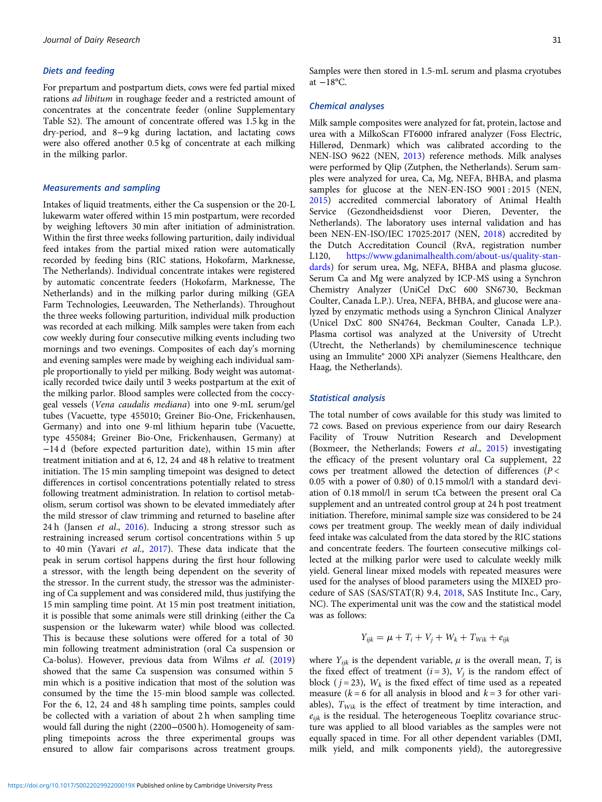## Diets and feeding

For prepartum and postpartum diets, cows were fed partial mixed rations ad libitum in roughage feeder and a restricted amount of concentrates at the concentrate feeder (online Supplementary Table S2). The amount of concentrate offered was 1.5 kg in the dry-period, and 8−9 kg during lactation, and lactating cows were also offered another 0.5 kg of concentrate at each milking in the milking parlor.

## Measurements and sampling

Intakes of liquid treatments, either the Ca suspension or the 20-L lukewarm water offered within 15 min postpartum, were recorded by weighing leftovers 30 min after initiation of administration. Within the first three weeks following parturition, daily individual feed intakes from the partial mixed ration were automatically recorded by feeding bins (RIC stations, Hokofarm, Marknesse, The Netherlands). Individual concentrate intakes were registered by automatic concentrate feeders (Hokofarm, Marknesse, The Netherlands) and in the milking parlor during milking (GEA Farm Technologies, Leeuwarden, The Netherlands). Throughout the three weeks following parturition, individual milk production was recorded at each milking. Milk samples were taken from each cow weekly during four consecutive milking events including two mornings and two evenings. Composites of each day's morning and evening samples were made by weighing each individual sample proportionally to yield per milking. Body weight was automatically recorded twice daily until 3 weeks postpartum at the exit of the milking parlor. Blood samples were collected from the coccygeal vessels (Vena caudalis mediana) into one 9-mL serum/gel tubes (Vacuette, type 455010; Greiner Bio-One, Frickenhausen, Germany) and into one 9-ml lithium heparin tube (Vacuette, type 455084; Greiner Bio-One, Frickenhausen, Germany) at −14 d (before expected parturition date), within 15 min after treatment initiation and at 6, 12, 24 and 48 h relative to treatment initiation. The 15 min sampling timepoint was designed to detect differences in cortisol concentrations potentially related to stress following treatment administration. In relation to cortisol metabolism, serum cortisol was shown to be elevated immediately after the mild stressor of claw trimming and returned to baseline after 24 h (Jansen et al., [2016](#page-7-0)). Inducing a strong stressor such as restraining increased serum cortisol concentrations within 5 up to 40 min (Yavari et al., [2017\)](#page-7-0). These data indicate that the peak in serum cortisol happens during the first hour following a stressor, with the length being dependent on the severity of the stressor. In the current study, the stressor was the administering of Ca supplement and was considered mild, thus justifying the 15 min sampling time point. At 15 min post treatment initiation, it is possible that some animals were still drinking (either the Ca suspension or the lukewarm water) while blood was collected. This is because these solutions were offered for a total of 30 min following treatment administration (oral Ca suspension or Ca-bolus). However, previous data from Wilms et al. [\(2019\)](#page-7-0) showed that the same Ca suspension was consumed within 5 min which is a positive indication that most of the solution was consumed by the time the 15-min blood sample was collected. For the 6, 12, 24 and 48 h sampling time points, samples could be collected with a variation of about 2 h when sampling time would fall during the night (2200−0500 h). Homogeneity of sampling timepoints across the three experimental groups was ensured to allow fair comparisons across treatment groups.

Samples were then stored in 1.5-mL serum and plasma cryotubes at  $-18$ °C.

#### Chemical analyses

Milk sample composites were analyzed for fat, protein, lactose and urea with a MilkoScan FT6000 infrared analyzer (Foss Electric, Hillerød, Denmark) which was calibrated according to the NEN-ISO 9622 (NEN, [2013](#page-7-0)) reference methods. Milk analyses were performed by Qlip (Zutphen, the Netherlands). Serum samples were analyzed for urea, Ca, Mg, NEFA, BHBA, and plasma samples for glucose at the NEN-EN-ISO 9001 : 2015 (NEN, [2015](#page-7-0)) accredited commercial laboratory of Animal Health Service (Gezondheidsdienst voor Dieren, Deventer, the Netherlands). The laboratory uses internal validation and has been NEN-EN-ISO/IEC 17025:2017 (NEN, [2018\)](#page-7-0) accredited by the Dutch Accreditation Council (RvA, registration number L120, [https://www.gdanimalhealth.com/about-us/quality-stan](https://www.gdanimalhealth.com/about-us/quality-standards)[dards](https://www.gdanimalhealth.com/about-us/quality-standards)) for serum urea, Mg, NEFA, BHBA and plasma glucose. Serum Ca and Mg were analyzed by ICP-MS using a Synchron Chemistry Analyzer (UniCel DxC 600 SN6730, Beckman Coulter, Canada L.P.). Urea, NEFA, BHBA, and glucose were analyzed by enzymatic methods using a Synchron Clinical Analyzer (Unicel DxC 800 SN4764, Beckman Coulter, Canada L.P.). Plasma cortisol was analyzed at the University of Utrecht (Utrecht, the Netherlands) by chemiluminescence technique using an Immulite® 2000 XPi analyzer (Siemens Healthcare, den Haag, the Netherlands).

#### Statistical analysis

The total number of cows available for this study was limited to 72 cows. Based on previous experience from our dairy Research Facility of Trouw Nutrition Research and Development (Boxmeer, the Netherlands; Fowers et al., [2015\)](#page-6-0) investigating the efficacy of the present voluntary oral Ca supplement, 22 cows per treatment allowed the detection of differences ( $P <$ 0.05 with a power of 0.80) of 0.15 mmol/l with a standard deviation of 0.18 mmol/l in serum tCa between the present oral Ca supplement and an untreated control group at 24 h post treatment initiation. Therefore, minimal sample size was considered to be 24 cows per treatment group. The weekly mean of daily individual feed intake was calculated from the data stored by the RIC stations and concentrate feeders. The fourteen consecutive milkings collected at the milking parlor were used to calculate weekly milk yield. General linear mixed models with repeated measures were used for the analyses of blood parameters using the MIXED procedure of SAS (SAS/STAT(R) 9.4, [2018](#page-7-0), SAS Institute Inc., Cary, NC). The experimental unit was the cow and the statistical model was as follows:

$$
Y_{ijk} = \mu + T_i + V_j + W_k + T_{Wiki} + e_{ijk}
$$

where  $Y_{ijk}$  is the dependent variable,  $\mu$  is the overall mean,  $T_i$  is the fixed effect of treatment ( $i = 3$ ),  $V_i$  is the random effect of block ( $j = 23$ ),  $W_k$  is the fixed effect of time used as a repeated measure ( $k = 6$  for all analysis in blood and  $k = 3$  for other variables),  $T_{\text{Wik}}$  is the effect of treatment by time interaction, and  $e_{iik}$  is the residual. The heterogeneous Toeplitz covariance structure was applied to all blood variables as the samples were not equally spaced in time. For all other dependent variables (DMI, milk yield, and milk components yield), the autoregressive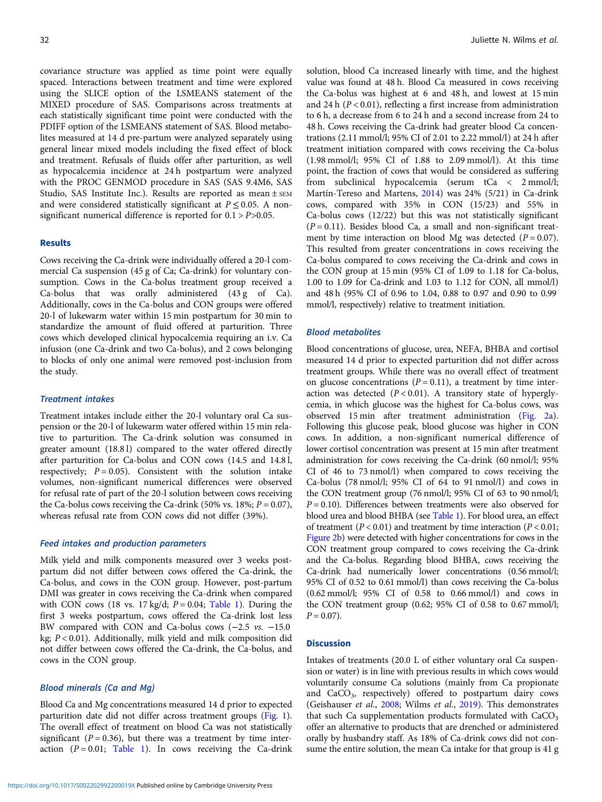covariance structure was applied as time point were equally spaced. Interactions between treatment and time were explored using the SLICE option of the LSMEANS statement of the MIXED procedure of SAS. Comparisons across treatments at each statistically significant time point were conducted with the PDIFF option of the LSMEANS statement of SAS. Blood metabolites measured at 14 d pre-partum were analyzed separately using general linear mixed models including the fixed effect of block and treatment. Refusals of fluids offer after parturition, as well as hypocalcemia incidence at 24 h postpartum were analyzed with the PROC GENMOD procedure in SAS (SAS 9.4M6, SAS Studio, SAS Institute Inc.). Results are reported as mean ± SEM and were considered statistically significant at  $P \le 0.05$ . A nonsignificant numerical difference is reported for  $0.1 > P > 0.05$ .

## Results

Cows receiving the Ca-drink were individually offered a 20-l commercial Ca suspension (45 g of Ca; Ca-drink) for voluntary consumption. Cows in the Ca-bolus treatment group received a Ca-bolus that was orally administered (43 g of Ca). Additionally, cows in the Ca-bolus and CON groups were offered 20-l of lukewarm water within 15 min postpartum for 30 min to standardize the amount of fluid offered at parturition. Three cows which developed clinical hypocalcemia requiring an i.v. Ca infusion (one Ca-drink and two Ca-bolus), and 2 cows belonging to blocks of only one animal were removed post-inclusion from the study.

#### Treatment intakes

Treatment intakes include either the 20-l voluntary oral Ca suspension or the 20-l of lukewarm water offered within 15 min relative to parturition. The Ca-drink solution was consumed in greater amount (18.8 l) compared to the water offered directly after parturition for Ca-bolus and CON cows (14.5 and 14.8 l, respectively;  $P = 0.05$ ). Consistent with the solution intake volumes, non-significant numerical differences were observed for refusal rate of part of the 20-l solution between cows receiving the Ca-bolus cows receiving the Ca-drink (50% vs. 18%;  $P = 0.07$ ), whereas refusal rate from CON cows did not differ (39%).

#### Feed intakes and production parameters

Milk yield and milk components measured over 3 weeks postpartum did not differ between cows offered the Ca-drink, the Ca-bolus, and cows in the CON group. However, post-partum DMI was greater in cows receiving the Ca-drink when compared with CON cows (18 vs. 17 kg/d;  $P = 0.04$ ; [Table 1\)](#page-4-0). During the first 3 weeks postpartum, cows offered the Ca-drink lost less BW compared with CON and Ca-bolus cows (−2.5 vs. −15.0 kg;  $P < 0.01$ ). Additionally, milk yield and milk composition did not differ between cows offered the Ca-drink, the Ca-bolus, and cows in the CON group.

#### Blood minerals (Ca and Mg)

Blood Ca and Mg concentrations measured 14 d prior to expected parturition date did not differ across treatment groups ([Fig. 1\)](#page-5-0). The overall effect of treatment on blood Ca was not statistically significant ( $P = 0.36$ ), but there was a treatment by time interaction  $(P = 0.01;$  [Table 1\)](#page-4-0). In cows receiving the Ca-drink

solution, blood Ca increased linearly with time, and the highest value was found at 48 h. Blood Ca measured in cows receiving the Ca-bolus was highest at 6 and 48 h, and lowest at 15 min and 24 h  $(P < 0.01)$ , reflecting a first increase from administration to 6 h, a decrease from 6 to 24 h and a second increase from 24 to 48 h. Cows receiving the Ca-drink had greater blood Ca concentrations (2.11 mmol/l; 95% CI of 2.01 to 2.22 mmol/l) at 24 h after treatment initiation compared with cows receiving the Ca-bolus (1.98 mmol/l; 95% CI of 1.88 to 2.09 mmol/l). At this time point, the fraction of cows that would be considered as suffering from subclinical hypocalcemia (serum tCa < 2 mmol/l; Martín-Tereso and Martens, [2014](#page-7-0)) was 24% (5/21) in Ca-drink cows, compared with 35% in CON (15/23) and 55% in Ca-bolus cows (12/22) but this was not statistically significant  $(P = 0.11)$ . Besides blood Ca, a small and non-significant treatment by time interaction on blood Mg was detected  $(P = 0.07)$ . This resulted from greater concentrations in cows receiving the Ca-bolus compared to cows receiving the Ca-drink and cows in the CON group at 15 min (95% CI of 1.09 to 1.18 for Ca-bolus, 1.00 to 1.09 for Ca-drink and 1.03 to 1.12 for CON, all mmol/l) and 48 h (95% CI of 0.96 to 1.04, 0.88 to 0.97 and 0.90 to 0.99 mmol/l, respectively) relative to treatment initiation.

## Blood metabolites

Blood concentrations of glucose, urea, NEFA, BHBA and cortisol measured 14 d prior to expected parturition did not differ across treatment groups. While there was no overall effect of treatment on glucose concentrations  $(P = 0.11)$ , a treatment by time interaction was detected  $(P < 0.01)$ . A transitory state of hyperglycemia, in which glucose was the highest for Ca-bolus cows, was observed 15 min after treatment administration ([Fig. 2a](#page-6-0)). Following this glucose peak, blood glucose was higher in CON cows. In addition, a non-significant numerical difference of lower cortisol concentration was present at 15 min after treatment administration for cows receiving the Ca-drink (60 nmol/l; 95% CI of 46 to 73 nmol/l) when compared to cows receiving the Ca-bolus (78 nmol/l; 95% CI of 64 to 91 nmol/l) and cows in the CON treatment group (76 nmol/l; 95% CI of 63 to 90 nmol/l;  $P = 0.10$ ). Differences between treatments were also observed for blood urea and blood BHBA (see [Table 1](#page-4-0)). For blood urea, an effect of treatment ( $P < 0.01$ ) and treatment by time interaction ( $P < 0.01$ ; [Figure 2b](#page-6-0)) were detected with higher concentrations for cows in the CON treatment group compared to cows receiving the Ca-drink and the Ca-bolus. Regarding blood BHBA, cows receiving the Ca-drink had numerically lower concentrations (0.56 mmol/l; 95% CI of 0.52 to 0.61 mmol/l) than cows receiving the Ca-bolus (0.62 mmol/l; 95% CI of 0.58 to 0.66 mmol/l) and cows in the CON treatment group (0.62; 95% CI of 0.58 to 0.67 mmol/l;  $P = 0.07$ ).

#### **Discussion**

Intakes of treatments (20.0 L of either voluntary oral Ca suspension or water) is in line with previous results in which cows would voluntarily consume Ca solutions (mainly from Ca propionate and CaCO<sub>3</sub>, respectively) offered to postpartum dairy cows (Geishauser et al., [2008](#page-6-0); Wilms et al., [2019\)](#page-7-0). This demonstrates that such Ca supplementation products formulated with  $CaCO<sub>3</sub>$ offer an alternative to products that are drenched or administered orally by husbandry staff. As 18% of Ca-drink cows did not consume the entire solution, the mean Ca intake for that group is 41 g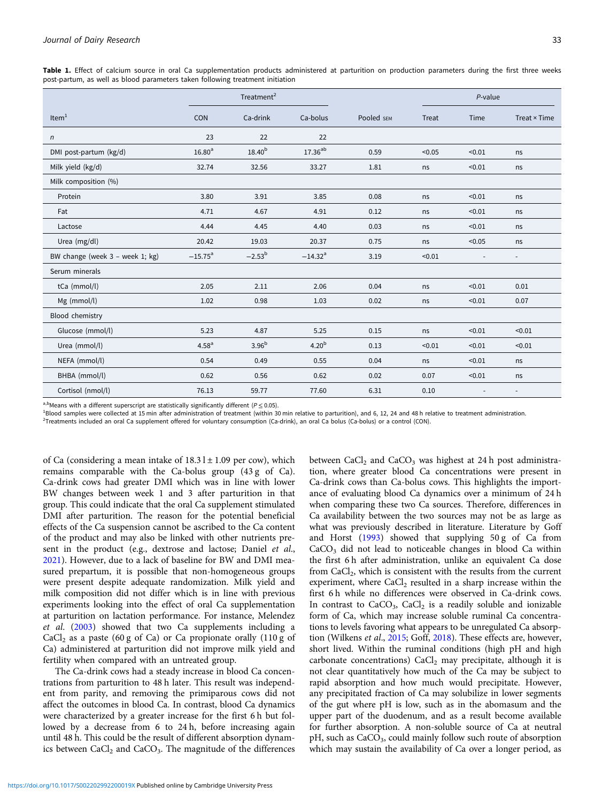|                                 |                       | Treatment <sup>2</sup> |                       |            |        | P-value                  |                          |  |
|---------------------------------|-----------------------|------------------------|-----------------------|------------|--------|--------------------------|--------------------------|--|
| Item $1$                        | CON                   | Ca-drink               | Ca-bolus              | Pooled SEM | Treat  | Time                     | Treat $\times$ Time      |  |
| n                               | 23                    | 22                     | 22                    |            |        |                          |                          |  |
| DMI post-partum (kg/d)          | 16.80 <sup>a</sup>    | 18.40 <sup>b</sup>     | $17.36^{\sf ab}$      | 0.59       | < 0.05 | < 0.01                   | ns                       |  |
| Milk yield (kg/d)               | 32.74                 | 32.56                  | 33.27                 | 1.81       | ns     | < 0.01                   | ns                       |  |
| Milk composition (%)            |                       |                        |                       |            |        |                          |                          |  |
| Protein                         | 3.80                  | 3.91                   | 3.85                  | 0.08       | ns     | < 0.01                   | ns                       |  |
| Fat                             | 4.71                  | 4.67                   | 4.91                  | 0.12       | ns     | < 0.01                   | ns                       |  |
| Lactose                         | 4.44                  | 4.45                   | 4.40                  | 0.03       | ns     | < 0.01                   | ns                       |  |
| Urea (mg/dl)                    | 20.42                 | 19.03                  | 20.37                 | 0.75       | ns     | < 0.05                   | ns                       |  |
| BW change (week 3 - week 1; kg) | $-15.75$ <sup>a</sup> | $-2.53^b$              | $-14.32$ <sup>a</sup> | 3.19       | < 0.01 | $\overline{\phantom{a}}$ | $\overline{\phantom{a}}$ |  |
| Serum minerals                  |                       |                        |                       |            |        |                          |                          |  |
| tCa (mmol/l)                    | 2.05                  | 2.11                   | 2.06                  | 0.04       | ns     | < 0.01                   | 0.01                     |  |
| Mg (mmol/l)                     | 1.02                  | 0.98                   | 1.03                  | 0.02       | ns     | < 0.01                   | 0.07                     |  |
| Blood chemistry                 |                       |                        |                       |            |        |                          |                          |  |
| Glucose (mmol/l)                | 5.23                  | 4.87                   | 5.25                  | 0.15       | ns     | < 0.01                   | < 0.01                   |  |
| Urea (mmol/l)                   | 4.58 <sup>a</sup>     | 3.96 <sup>b</sup>      | 4.20 <sup>b</sup>     | 0.13       | < 0.01 | < 0.01                   | < 0.01                   |  |
| NEFA (mmol/l)                   | 0.54                  | 0.49                   | 0.55                  | 0.04       | ns     | < 0.01                   | ns                       |  |
| BHBA (mmol/l)                   | 0.62                  | 0.56                   | 0.62                  | 0.02       | 0.07   | < 0.01                   | ns                       |  |
| Cortisol (nmol/l)               | 76.13                 | 59.77                  | 77.60                 | 6.31       | 0.10   |                          |                          |  |

<span id="page-4-0"></span>Table 1. Effect of calcium source in oral Ca supplementation products administered at parturition on production parameters during the first three weeks post-partum, as well as blood parameters taken following treatment initiation

a,bMeans with a different superscript are statistically significantly different ( $P \le 0.05$ ).

<sup>1</sup>Blood samples were collected at 15 min after administration of treatment (within 30 min relative to parturition), and 6, 12, 24 and 48 h relative to treatment administration.

<sup>2</sup>Treatments included an oral Ca supplement offered for voluntary consumption (Ca-drink), an oral Ca bolus (Ca-bolus) or a control (CON).

of Ca (considering a mean intake of  $18.3 \, \text{l} \pm 1.09$  per cow), which remains comparable with the Ca-bolus group (43 g of Ca). Ca-drink cows had greater DMI which was in line with lower BW changes between week 1 and 3 after parturition in that group. This could indicate that the oral Ca supplement stimulated DMI after parturition. The reason for the potential beneficial effects of the Ca suspension cannot be ascribed to the Ca content of the product and may also be linked with other nutrients present in the product (e.g., dextrose and lactose; Daniel et al., [2021\)](#page-6-0). However, due to a lack of baseline for BW and DMI measured prepartum, it is possible that non-homogeneous groups were present despite adequate randomization. Milk yield and milk composition did not differ which is in line with previous experiments looking into the effect of oral Ca supplementation at parturition on lactation performance. For instance, Melendez et al. [\(2003\)](#page-7-0) showed that two Ca supplements including a  $CaCl<sub>2</sub>$  as a paste (60 g of Ca) or Ca propionate orally (110 g of Ca) administered at parturition did not improve milk yield and fertility when compared with an untreated group.

The Ca-drink cows had a steady increase in blood Ca concentrations from parturition to 48 h later. This result was independent from parity, and removing the primiparous cows did not affect the outcomes in blood Ca. In contrast, blood Ca dynamics were characterized by a greater increase for the first 6 h but followed by a decrease from 6 to 24 h, before increasing again until 48 h. This could be the result of different absorption dynamics between  $CaCl<sub>2</sub>$  and  $CaCO<sub>3</sub>$ . The magnitude of the differences between  $CaCl<sub>2</sub>$  and  $CaCO<sub>3</sub>$  was highest at 24 h post administration, where greater blood Ca concentrations were present in Ca-drink cows than Ca-bolus cows. This highlights the importance of evaluating blood Ca dynamics over a minimum of 24 h when comparing these two Ca sources. Therefore, differences in Ca availability between the two sources may not be as large as what was previously described in literature. Literature by Goff and Horst [\(1993](#page-7-0)) showed that supplying 50 g of Ca from  $CaCO<sub>3</sub>$  did not lead to noticeable changes in blood Ca within the first 6 h after administration, unlike an equivalent Ca dose from  $CaCl<sub>2</sub>$ , which is consistent with the results from the current experiment, where CaCl<sub>2</sub> resulted in a sharp increase within the first 6 h while no differences were observed in Ca-drink cows. In contrast to  $CaCO<sub>3</sub>$ ,  $CaCl<sub>2</sub>$  is a readily soluble and ionizable form of Ca, which may increase soluble ruminal Ca concentrations to levels favoring what appears to be unregulated Ca absorption (Wilkens et al., [2015](#page-7-0); Goff, [2018\)](#page-7-0). These effects are, however, short lived. Within the ruminal conditions (high pH and high carbonate concentrations)  $CaCl<sub>2</sub>$  may precipitate, although it is not clear quantitatively how much of the Ca may be subject to rapid absorption and how much would precipitate. However, any precipitated fraction of Ca may solubilize in lower segments of the gut where pH is low, such as in the abomasum and the upper part of the duodenum, and as a result become available for further absorption. A non-soluble source of Ca at neutral pH, such as CaCO<sub>3</sub>, could mainly follow such route of absorption which may sustain the availability of Ca over a longer period, as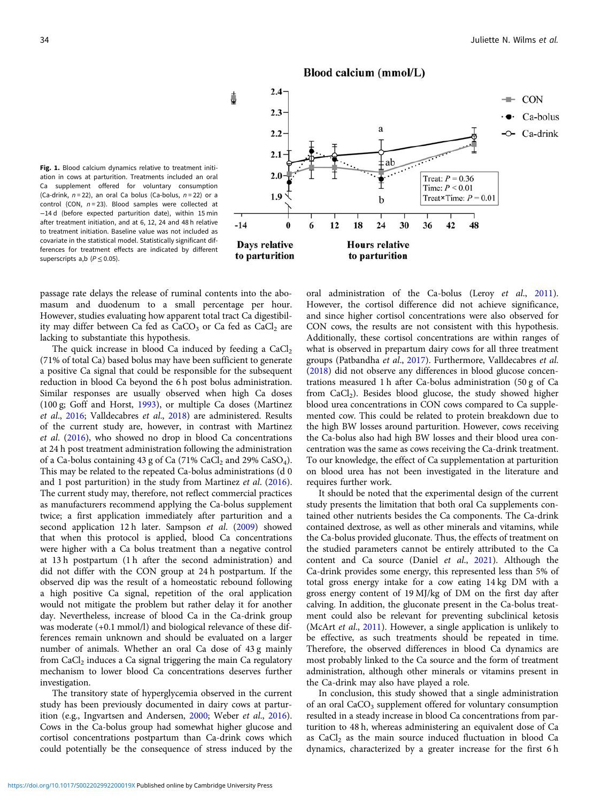

<span id="page-5-0"></span>Fig. 1. Blood calcium dynamics relative to treatment initiation in cows at parturition. Treatments included an oral Ca supplement offered for voluntary consumption (Ca-drink,  $n = 22$ ), an oral Ca bolus (Ca-bolus,  $n = 22$ ) or a control (CON,  $n = 23$ ). Blood samples were collected at −14 d (before expected parturition date), within 15 min after treatment initiation, and at 6, 12, 24 and 48 h relative to treatment initiation. Baseline value was not included as covariate in the statistical model. Statistically significant differences for treatment effects are indicated by different superscripts a,b  $(P < 0.05)$ .

passage rate delays the release of ruminal contents into the abomasum and duodenum to a small percentage per hour. However, studies evaluating how apparent total tract Ca digestibility may differ between Ca fed as  $CaCO<sub>3</sub>$  or Ca fed as  $CaCl<sub>2</sub>$  are lacking to substantiate this hypothesis.

The quick increase in blood Ca induced by feeding a  $CaCl<sub>2</sub>$ (71% of total Ca) based bolus may have been sufficient to generate a positive Ca signal that could be responsible for the subsequent reduction in blood Ca beyond the 6 h post bolus administration. Similar responses are usually observed when high Ca doses (100 g; Goff and Horst, [1993\)](#page-7-0), or multiple Ca doses (Martinez et al., [2016](#page-7-0); Valldecabres et al., [2018\)](#page-7-0) are administered. Results of the current study are, however, in contrast with Martinez et al. ([2016\)](#page-7-0), who showed no drop in blood Ca concentrations at 24 h post treatment administration following the administration of a Ca-bolus containing 43 g of Ca  $(71\%$  CaCl<sub>2</sub> and 29% CaSO<sub>4</sub>). This may be related to the repeated Ca-bolus administrations (d 0 and 1 post parturition) in the study from Martinez et al. ([2016\)](#page-7-0). The current study may, therefore, not reflect commercial practices as manufacturers recommend applying the Ca-bolus supplement twice; a first application immediately after parturition and a second application 12 h later. Sampson et al. ([2009](#page-7-0)) showed that when this protocol is applied, blood Ca concentrations were higher with a Ca bolus treatment than a negative control at 13 h postpartum (1 h after the second administration) and did not differ with the CON group at 24 h postpartum. If the observed dip was the result of a homeostatic rebound following a high positive Ca signal, repetition of the oral application would not mitigate the problem but rather delay it for another day. Nevertheless, increase of blood Ca in the Ca-drink group was moderate (+0.1 mmol/l) and biological relevance of these differences remain unknown and should be evaluated on a larger number of animals. Whether an oral Ca dose of 43 g mainly from  $CaCl<sub>2</sub>$  induces a Ca signal triggering the main Ca regulatory mechanism to lower blood Ca concentrations deserves further investigation.

The transitory state of hyperglycemia observed in the current study has been previously documented in dairy cows at partur-ition (e.g., Ingvartsen and Andersen, [2000;](#page-7-0) Weber et al., [2016\)](#page-7-0). Cows in the Ca-bolus group had somewhat higher glucose and cortisol concentrations postpartum than Ca-drink cows which could potentially be the consequence of stress induced by the oral administration of the Ca-bolus (Leroy et al., [2011](#page-7-0)). However, the cortisol difference did not achieve significance, and since higher cortisol concentrations were also observed for CON cows, the results are not consistent with this hypothesis. Additionally, these cortisol concentrations are within ranges of what is observed in prepartum dairy cows for all three treatment groups (Patbandha et al., [2017](#page-7-0)). Furthermore, Valldecabres et al. ([2018\)](#page-7-0) did not observe any differences in blood glucose concentrations measured 1 h after Ca-bolus administration (50 g of Ca from  $CaCl<sub>2</sub>$ ). Besides blood glucose, the study showed higher blood urea concentrations in CON cows compared to Ca supplemented cow. This could be related to protein breakdown due to the high BW losses around parturition. However, cows receiving the Ca-bolus also had high BW losses and their blood urea concentration was the same as cows receiving the Ca-drink treatment. To our knowledge, the effect of Ca supplementation at parturition on blood urea has not been investigated in the literature and requires further work.

It should be noted that the experimental design of the current study presents the limitation that both oral Ca supplements contained other nutrients besides the Ca components. The Ca-drink contained dextrose, as well as other minerals and vitamins, while the Ca-bolus provided gluconate. Thus, the effects of treatment on the studied parameters cannot be entirely attributed to the Ca content and Ca source (Daniel et al., [2021\)](#page-6-0). Although the Ca-drink provides some energy, this represented less than 5% of total gross energy intake for a cow eating 14 kg DM with a gross energy content of 19 MJ/kg of DM on the first day after calving. In addition, the gluconate present in the Ca-bolus treatment could also be relevant for preventing subclinical ketosis (McArt et al., [2011](#page-7-0)). However, a single application is unlikely to be effective, as such treatments should be repeated in time. Therefore, the observed differences in blood Ca dynamics are most probably linked to the Ca source and the form of treatment administration, although other minerals or vitamins present in the Ca-drink may also have played a role.

In conclusion, this study showed that a single administration of an oral CaCO<sub>3</sub> supplement offered for voluntary consumption resulted in a steady increase in blood Ca concentrations from parturition to 48 h, whereas administering an equivalent dose of Ca as  $CaCl<sub>2</sub>$  as the main source induced fluctuation in blood Ca dynamics, characterized by a greater increase for the first 6 h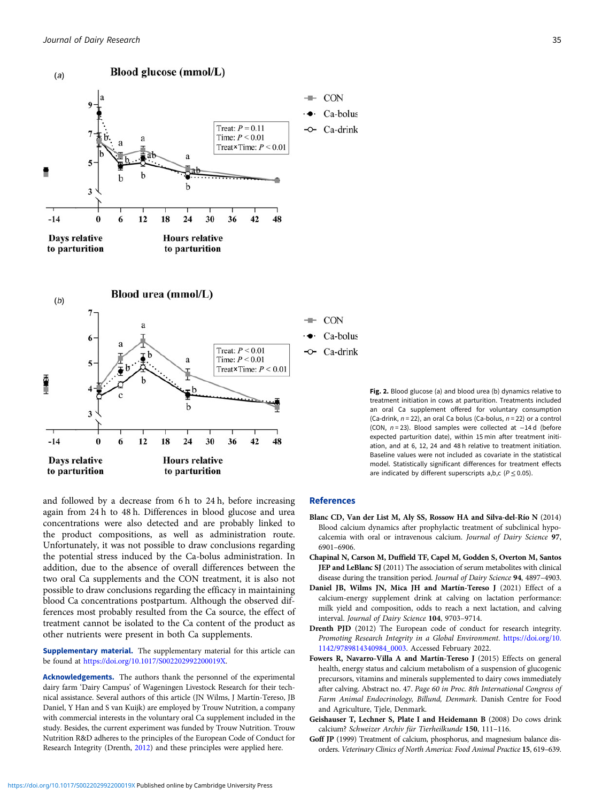<span id="page-6-0"></span>

Fig. 2. Blood glucose (a) and blood urea (b) dynamics relative to treatment initiation in cows at parturition. Treatments included an oral Ca supplement offered for voluntary consumption (Ca-drink,  $n = 22$ ), an oral Ca bolus (Ca-bolus,  $n = 22$ ) or a control (CON, n = 23). Blood samples were collected at −14 d (before expected parturition date), within 15 min after treatment initiation, and at 6, 12, 24 and 48 h relative to treatment initiation. Baseline values were not included as covariate in the statistical model. Statistically significant differences for treatment effects are indicated by different superscripts a,b,c ( $P \le 0.05$ ).

and followed by a decrease from 6 h to 24 h, before increasing again from 24 h to 48 h. Differences in blood glucose and urea concentrations were also detected and are probably linked to the product compositions, as well as administration route. Unfortunately, it was not possible to draw conclusions regarding the potential stress induced by the Ca-bolus administration. In addition, due to the absence of overall differences between the two oral Ca supplements and the CON treatment, it is also not possible to draw conclusions regarding the efficacy in maintaining blood Ca concentrations postpartum. Although the observed differences most probably resulted from the Ca source, the effect of treatment cannot be isolated to the Ca content of the product as other nutrients were present in both Ca supplements.

Supplementary material. The supplementary material for this article can be found at <https://doi.org/10.1017/S002202992200019X>.

Acknowledgements. The authors thank the personnel of the experimental dairy farm 'Dairy Campus' of Wageningen Livestock Research for their technical assistance. Several authors of this article (JN Wilms, J Martín-Tereso, JB Daniel, Y Han and S van Kuijk) are employed by Trouw Nutrition, a company with commercial interests in the voluntary oral Ca supplement included in the study. Besides, the current experiment was funded by Trouw Nutrition. Trouw Nutrition R&D adheres to the principles of the European Code of Conduct for Research Integrity (Drenth, 2012) and these principles were applied here.

#### References

- Blanc CD, Van der List M, Aly SS, Rossow HA and Silva-del-Río N (2014) Blood calcium dynamics after prophylactic treatment of subclinical hypocalcemia with oral or intravenous calcium. Journal of Dairy Science 97, 6901–6906.
- Chapinal N, Carson M, Duffield TF, Capel M, Godden S, Overton M, Santos JEP and LeBlanc SJ (2011) The association of serum metabolites with clinical disease during the transition period. Journal of Dairy Science 94, 4897–4903.
- Daniel JB, Wilms JN, Mica JH and Martín-Tereso J (2021) Effect of a calcium-energy supplement drink at calving on lactation performance: milk yield and composition, odds to reach a next lactation, and calving interval. Journal of Dairy Science 104, 9703–9714.
- Drenth PJD (2012) The European code of conduct for research integrity. Promoting Research Integrity in a Global Environment. [https://doi.org/10.](https://doi.org/10.1142/9789814340984_0003) [1142/9789814340984\\_0003.](https://doi.org/10.1142/9789814340984_0003) Accessed February 2022.
- Fowers R, Navarro-Villa A and Martín-Tereso J (2015) Effects on general health, energy status and calcium metabolism of a suspension of glucogenic precursors, vitamins and minerals supplemented to dairy cows immediately after calving. Abstract no. 47. Page 60 in Proc. 8th International Congress of Farm Animal Endocrinology, Billund, Denmark. Danish Centre for Food and Agriculture, Tjele, Denmark.
- Geishauser T, Lechner S, Plate I and Heidemann B (2008) Do cows drink calcium? Schweizer Archiv für Tierheilkunde 150, 111–116.
- Goff JP (1999) Treatment of calcium, phosphorus, and magnesium balance disorders. Veterinary Clinics of North America: Food Animal Practice 15, 619–639.